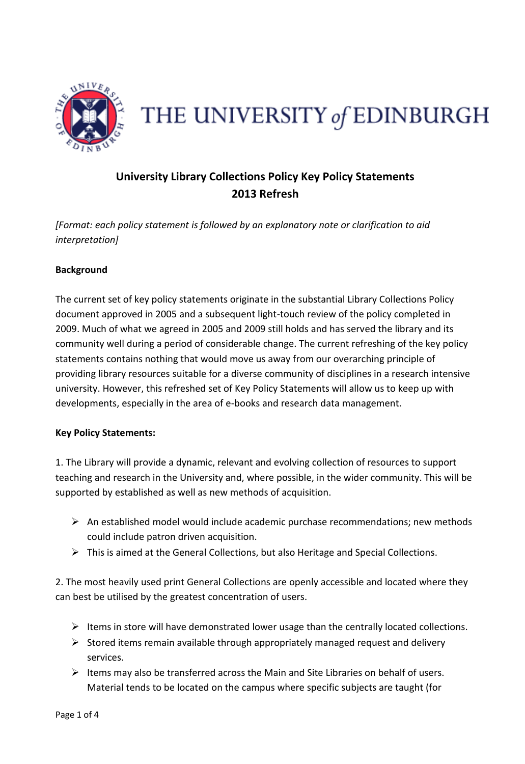

## THE UNIVERSITY of EDINBURGH

## **University Library Collections Policy Key Policy Statements 2013 Refresh**

*[Format: each policy statement is followed by an explanatory note or clarification to aid interpretation]* 

## **Background**

The current set of key policy statements originate in the substantial Library Collections Policy document approved in 2005 and a subsequent light-touch review of the policy completed in 2009. Much of what we agreed in 2005 and 2009 still holds and has served the library and its community well during a period of considerable change. The current refreshing of the key policy statements contains nothing that would move us away from our overarching principle of providing library resources suitable for a diverse community of disciplines in a research intensive university. However, this refreshed set of Key Policy Statements will allow us to keep up with developments, especially in the area of e-books and research data management.

## **Key Policy Statements:**

1. The Library will provide a dynamic, relevant and evolving collection of resources to support teaching and research in the University and, where possible, in the wider community. This will be supported by established as well as new methods of acquisition.

- $\triangleright$  An established model would include academic purchase recommendations; new methods could include patron driven acquisition.
- $\triangleright$  This is aimed at the General Collections, but also Heritage and Special Collections.

2. The most heavily used print General Collections are openly accessible and located where they can best be utilised by the greatest concentration of users.

- $\triangleright$  Items in store will have demonstrated lower usage than the centrally located collections.
- $\triangleright$  Stored items remain available through appropriately managed request and delivery services.
- $\triangleright$  Items may also be transferred across the Main and Site Libraries on behalf of users. Material tends to be located on the campus where specific subjects are taught (for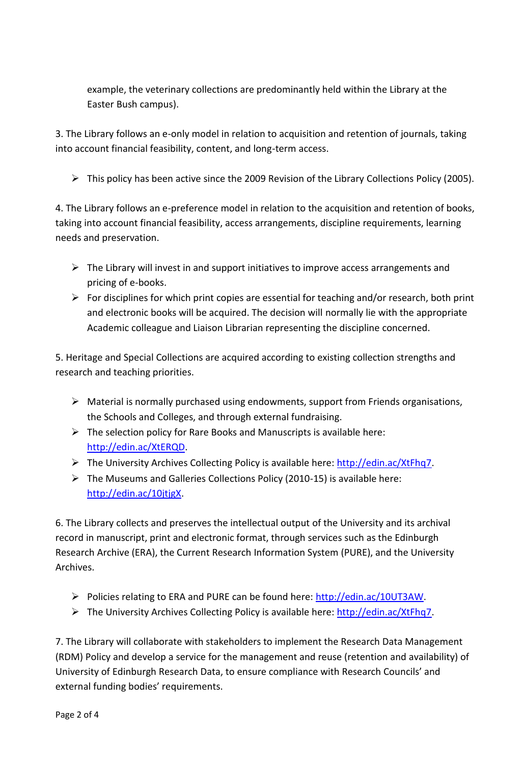example, the veterinary collections are predominantly held within the Library at the Easter Bush campus).

3. The Library follows an e-only model in relation to acquisition and retention of journals, taking into account financial feasibility, content, and long-term access.

This policy has been active since the 2009 Revision of the Library Collections Policy (2005).

4. The Library follows an e-preference model in relation to the acquisition and retention of books, taking into account financial feasibility, access arrangements, discipline requirements, learning needs and preservation.

- $\triangleright$  The Library will invest in and support initiatives to improve access arrangements and pricing of e-books.
- $\triangleright$  For disciplines for which print copies are essential for teaching and/or research, both print and electronic books will be acquired. The decision will normally lie with the appropriate Academic colleague and Liaison Librarian representing the discipline concerned.

5. Heritage and Special Collections are acquired according to existing collection strengths and research and teaching priorities.

- $\triangleright$  Material is normally purchased using endowments, support from Friends organisations, the Schools and Colleges, and through external fundraising.
- $\triangleright$  The selection policy for Rare Books and Manuscripts is available here: [http://edin.ac/XtERQD.](http://edin.ac/XtERQD)
- The University Archives Collecting Policy is available here: [http://edin.ac/XtFhq7.](http://edin.ac/XtFhq7)
- $\triangleright$  The Museums and Galleries Collections Policy (2010-15) is available here: [http://edin.ac/10jtjgX.](http://edin.ac/10jtjgX)

6. The Library collects and preserves the intellectual output of the University and its archival record in manuscript, print and electronic format, through services such as the Edinburgh Research Archive (ERA), the Current Research Information System (PURE), and the University Archives.

- Policies relating to ERA and PURE can be found here: [http://edin.ac/10UT3AW.](http://edin.ac/10UT3AW)
- The University Archives Collecting Policy is available here: [http://edin.ac/XtFhq7.](http://edin.ac/XtFhq7)

7. The Library will collaborate with stakeholders to implement the Research Data Management (RDM) Policy and develop a service for the management and reuse (retention and availability) of University of Edinburgh Research Data, to ensure compliance with Research Councils' and external funding bodies' requirements.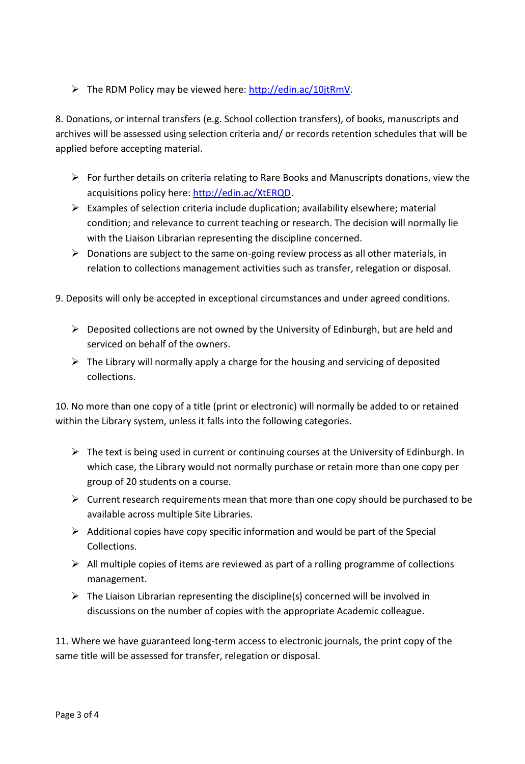The RDM Policy may be viewed here: [http://edin.ac/10jtRmV.](http://edin.ac/10jtRmV)

8. Donations, or internal transfers (e.g. School collection transfers), of books, manuscripts and archives will be assessed using selection criteria and/ or records retention schedules that will be applied before accepting material.

- $\triangleright$  For further details on criteria relating to Rare Books and Manuscripts donations, view the acquisitions policy here: [http://edin.ac/XtERQD.](http://edin.ac/XtERQD)
- $\triangleright$  Examples of selection criteria include duplication; availability elsewhere; material condition; and relevance to current teaching or research. The decision will normally lie with the Liaison Librarian representing the discipline concerned.
- $\triangleright$  Donations are subject to the same on-going review process as all other materials, in relation to collections management activities such as transfer, relegation or disposal.
- 9. Deposits will only be accepted in exceptional circumstances and under agreed conditions.
	- $\triangleright$  Deposited collections are not owned by the University of Edinburgh, but are held and serviced on behalf of the owners.
	- $\triangleright$  The Library will normally apply a charge for the housing and servicing of deposited collections.

10. No more than one copy of a title (print or electronic) will normally be added to or retained within the Library system, unless it falls into the following categories.

- $\triangleright$  The text is being used in current or continuing courses at the University of Edinburgh. In which case, the Library would not normally purchase or retain more than one copy per group of 20 students on a course.
- $\triangleright$  Current research requirements mean that more than one copy should be purchased to be available across multiple Site Libraries.
- $\triangleright$  Additional copies have copy specific information and would be part of the Special Collections.
- $\triangleright$  All multiple copies of items are reviewed as part of a rolling programme of collections management.
- $\triangleright$  The Liaison Librarian representing the discipline(s) concerned will be involved in discussions on the number of copies with the appropriate Academic colleague.

11. Where we have guaranteed long-term access to electronic journals, the print copy of the same title will be assessed for transfer, relegation or disposal.